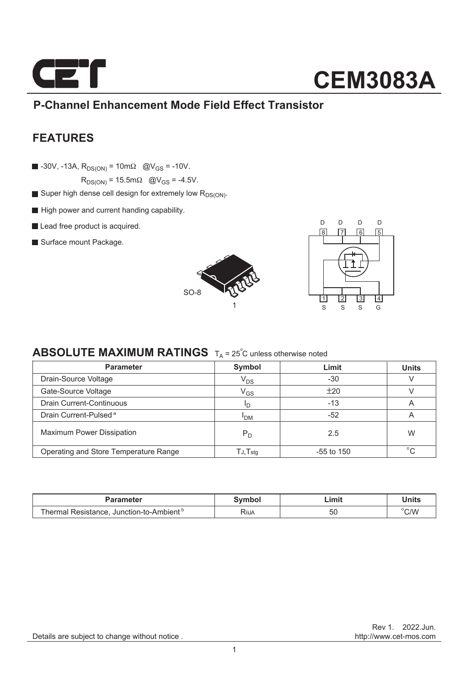

## **CEM3083A**

#### **P-Channel Enhancement Mode Field Effect Transistor**

#### **FEATURES**

 $\blacksquare$  -30V, -13A,  $R_{DS(ON)} = 10 \text{ m}\Omega$  @V<sub>GS</sub> = -10V.

 $R_{DS(ON)} = 15.5 \text{m}\Omega$  @V<sub>GS</sub> = -4.5V.

- Super high dense cell design for extremely low  $R_{DS(ON)}$ .
- High power and current handing capability.
- Lead free product is acquired.
- Surface mount Package.





#### **ABSOLUTE MAXIMUM RATINGS**  $T_A = 25^\circ C$  unless otherwise noted

| <b>Parameter</b>                      | Symbol                     | Limit        | <b>Units</b> |  |
|---------------------------------------|----------------------------|--------------|--------------|--|
| Drain-Source Voltage                  | $V_{DS}$                   | $-30$        |              |  |
| Gate-Source Voltage                   | $\mathsf{V}_{\mathsf{GS}}$ | ±20          |              |  |
| <b>Drain Current-Continuous</b>       | חי                         | $-13$        | A            |  |
| Drain Current-Pulsed <sup>a</sup>     | <sup>I</sup> DM            | -52          | A            |  |
| <b>Maximum Power Dissipation</b>      | $P_D$                      | 2.5          | W            |  |
| Operating and Store Temperature Range | TJ,Tstq                    | $-55$ to 150 | $^{\circ}$ C |  |

| rameter                                                      | Symbol | .imi' | <b>Units</b>   |
|--------------------------------------------------------------|--------|-------|----------------|
| . Junction-to-Ambient <sup>b</sup><br>Resistance.<br>\nermal | ROJA   | -50   | $^{\circ}$ C/W |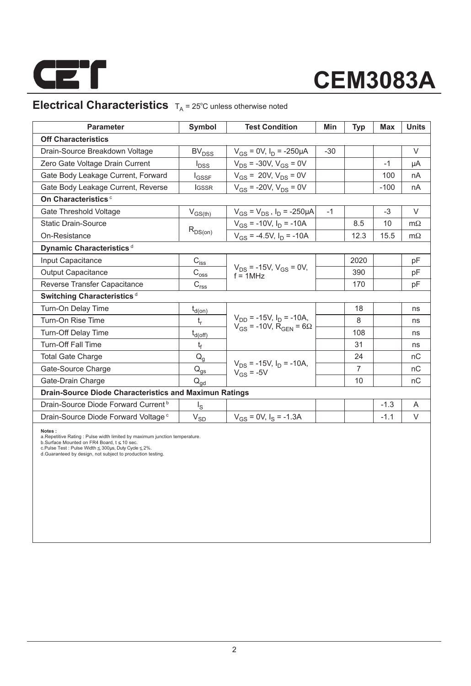

# **CEM3083A**

### **Electrical Characteristics**  $T_A = 25^\circ C$  unless otherwise noted

| <b>Parameter</b>                                              | Symbol                                 | <b>Test Condition</b>                                                   | Min   | <b>Typ</b>     | Max    | <b>Units</b> |  |  |  |
|---------------------------------------------------------------|----------------------------------------|-------------------------------------------------------------------------|-------|----------------|--------|--------------|--|--|--|
| <b>Off Characteristics</b>                                    |                                        |                                                                         |       |                |        |              |  |  |  |
| Drain-Source Breakdown Voltage                                | <b>BV<sub>DSS</sub></b>                | $V_{GS}$ = 0V, $I_D$ = -250µA                                           | $-30$ |                |        | $\vee$       |  |  |  |
| Zero Gate Voltage Drain Current                               | $I_{\text{DSS}}$                       | $V_{DS}$ = -30V, $V_{GS}$ = 0V                                          |       |                | $-1$   | μA           |  |  |  |
| Gate Body Leakage Current, Forward                            | <b>I</b> GSSF                          | $V_{GS}$ = 20V, $V_{DS}$ = 0V                                           |       |                | 100    | nA           |  |  |  |
| Gate Body Leakage Current, Reverse                            | <b>IGSSR</b>                           | $V_{GS}$ = -20V, $V_{DS}$ = 0V                                          |       |                | $-100$ | nA           |  |  |  |
| On Characteristics <sup>c</sup>                               |                                        |                                                                         |       |                |        |              |  |  |  |
| Gate Threshold Voltage                                        | $V_{GS(th)}$                           | $V_{GS} = V_{DS}$ , $I_D = -250 \mu A$                                  | $-1$  |                | $-3$   | V            |  |  |  |
| <b>Static Drain-Source</b>                                    |                                        | $V_{GS}$ = -10V, $I_D$ = -10A                                           |       | 8.5            | 10     | $m\Omega$    |  |  |  |
| On-Resistance                                                 | $R_{DS(on)}$                           | $V_{GS}$ = -4.5V, $I_D$ = -10A                                          |       | 12.3           | 15.5   | $m\Omega$    |  |  |  |
| Dynamic Characteristics <sup>d</sup>                          |                                        |                                                                         |       |                |        |              |  |  |  |
| Input Capacitance                                             | $C_{i \underline{s} \underline{s}}$    |                                                                         |       | 2020           |        | pF           |  |  |  |
| <b>Output Capacitance</b>                                     | $C_{\rm{oss}}$                         | $V_{DS}$ = -15V, $V_{GS}$ = 0V,<br>$f = 1MHz$                           |       | 390            |        | pF           |  |  |  |
| Reverse Transfer Capacitance                                  | C <sub>rss</sub>                       |                                                                         |       | 170            |        | pF           |  |  |  |
| Switching Characteristics <sup>d</sup>                        |                                        |                                                                         |       |                |        |              |  |  |  |
| Turn-On Delay Time                                            | $t_{d(0n)}$                            |                                                                         |       | 18             |        | ns           |  |  |  |
| Turn-On Rise Time                                             | $t_r$                                  | $V_{DD}$ = -15V, $I_D$ = -10A,<br>$V_{GS} = -10V$ , $R_{GEN} = 6\Omega$ |       | 8              |        | ns           |  |  |  |
| Turn-Off Delay Time                                           | $t_{d(\text{off})}$                    |                                                                         |       | 108            |        | ns           |  |  |  |
| <b>Turn-Off Fall Time</b>                                     | t                                      |                                                                         |       | 31             |        | ns           |  |  |  |
| <b>Total Gate Charge</b>                                      | $\mathsf{Q}_{\underline{\mathsf{g}}}$  |                                                                         |       | 24             |        | nC           |  |  |  |
| Gate-Source Charge                                            | $\mathsf{Q}_{\underline{\mathsf{gs}}}$ | $V_{DS}$ = -15V, $I_D$ = -10A,<br>$V_{GS}$ = -5V                        |       | $\overline{7}$ |        | nC           |  |  |  |
| Gate-Drain Charge                                             | $Q_{qd}$                               |                                                                         |       | 10             |        | nC           |  |  |  |
| <b>Drain-Source Diode Characteristics and Maximun Ratings</b> |                                        |                                                                         |       |                |        |              |  |  |  |
| Drain-Source Diode Forward Current <sup>b</sup>               | $I_{\rm S}$                            |                                                                         |       |                | $-1.3$ | A            |  |  |  |
| Drain-Source Diode Forward Voltage <sup>c</sup>               | $V_{SD}$                               | $V_{GS} = 0V$ , $I_S = -1.3A$                                           |       |                | $-1.1$ | V            |  |  |  |

**Notes :**<br>a.Repetitive Rating : Pulse width limited by maximum junction temperature.<br>b.Surface Mounted on FR4 Board, t ≤ 10 sec.<br>c.Pulse Test : Pluse Width ≤ 300µs, Duty Cyde ≤ 2%.<br>d.Guaranteed by design, not subject to p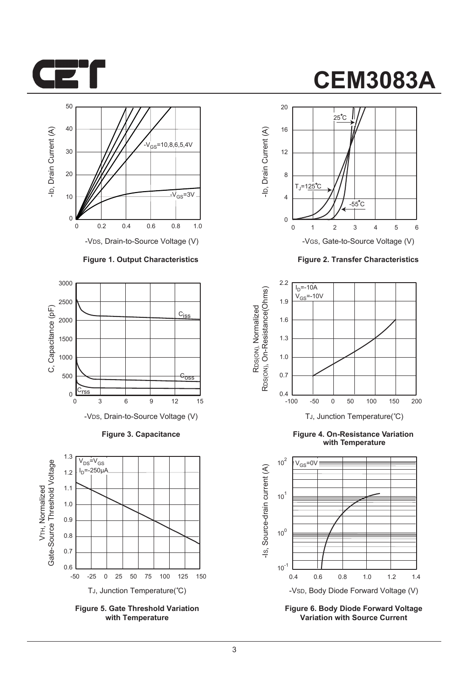



-VDS, Drain-to-Source Voltage (V)

#### **Figure 1. Output Characteristics**



**Figure 3. Capacitance**



**Figure 5. Gate Threshold Variation with Temperature**

### **CEM3083A**



**Figure 2. Transfer Characteristics**



**Figure 4. On-Resistance Variation with Temperature**



**Figure 6. Body Diode Forward Voltage Variation with Source Current**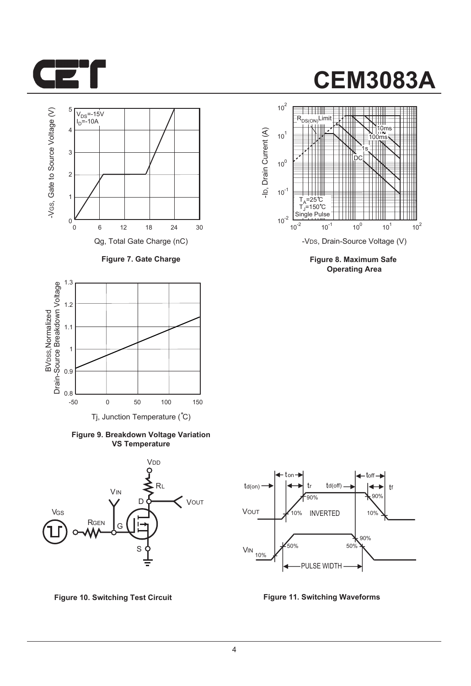



**Figure 7. Gate Charge**



**Figure 9. Breakdown Voltage Variation VS Temperature**







**Figure 8. Maximum Safe Operating Area**



**Figure 10. Switching Test Circuit Figure 11. Switching Waveforms**